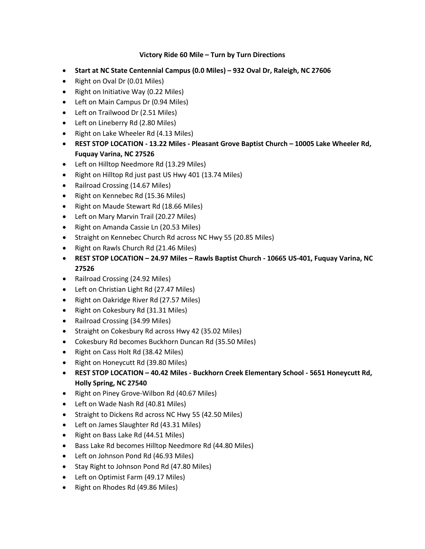## **Victory Ride 60 Mile – Turn by Turn Directions**

- **Start at NC State Centennial Campus (0.0 Miles) – 932 Oval Dr, Raleigh, NC 27606**
- Right on Oval Dr (0.01 Miles)
- Right on Initiative Way (0.22 Miles)
- Left on Main Campus Dr (0.94 Miles)
- Left on Trailwood Dr (2.51 Miles)
- Left on Lineberry Rd (2.80 Miles)
- Right on Lake Wheeler Rd (4.13 Miles)
- **REST STOP LOCATION - 13.22 Miles - Pleasant Grove Baptist Church – 10005 Lake Wheeler Rd, Fuquay Varina, NC 27526**
- Left on Hilltop Needmore Rd (13.29 Miles)
- Right on Hilltop Rd just past US Hwy 401 (13.74 Miles)
- Railroad Crossing (14.67 Miles)
- Right on Kennebec Rd (15.36 Miles)
- Right on Maude Stewart Rd (18.66 Miles)
- Left on Mary Marvin Trail (20.27 Miles)
- Right on Amanda Cassie Ln (20.53 Miles)
- Straight on Kennebec Church Rd across NC Hwy 55 (20.85 Miles)
- Right on Rawls Church Rd (21.46 Miles)
- **REST STOP LOCATION – 24.97 Miles – Rawls Baptist Church - 10665 US-401, Fuquay Varina, NC 27526**
- Railroad Crossing (24.92 Miles)
- Left on Christian Light Rd (27.47 Miles)
- Right on Oakridge River Rd (27.57 Miles)
- Right on Cokesbury Rd (31.31 Miles)
- Railroad Crossing (34.99 Miles)
- Straight on Cokesbury Rd across Hwy 42 (35.02 Miles)
- Cokesbury Rd becomes Buckhorn Duncan Rd (35.50 Miles)
- Right on Cass Holt Rd (38.42 Miles)
- Right on Honeycutt Rd (39.80 Miles)
- **REST STOP LOCATION – 40.42 Miles - Buckhorn Creek Elementary School - 5651 Honeycutt Rd, Holly Spring, NC 27540**
- Right on Piney Grove-Wilbon Rd (40.67 Miles)
- Left on Wade Nash Rd (40.81 Miles)
- Straight to Dickens Rd across NC Hwy 55 (42.50 Miles)
- Left on James Slaughter Rd (43.31 Miles)
- Right on Bass Lake Rd (44.51 Miles)
- Bass Lake Rd becomes Hilltop Needmore Rd (44.80 Miles)
- Left on Johnson Pond Rd (46.93 Miles)
- Stay Right to Johnson Pond Rd (47.80 Miles)
- Left on Optimist Farm (49.17 Miles)
- Right on Rhodes Rd (49.86 Miles)